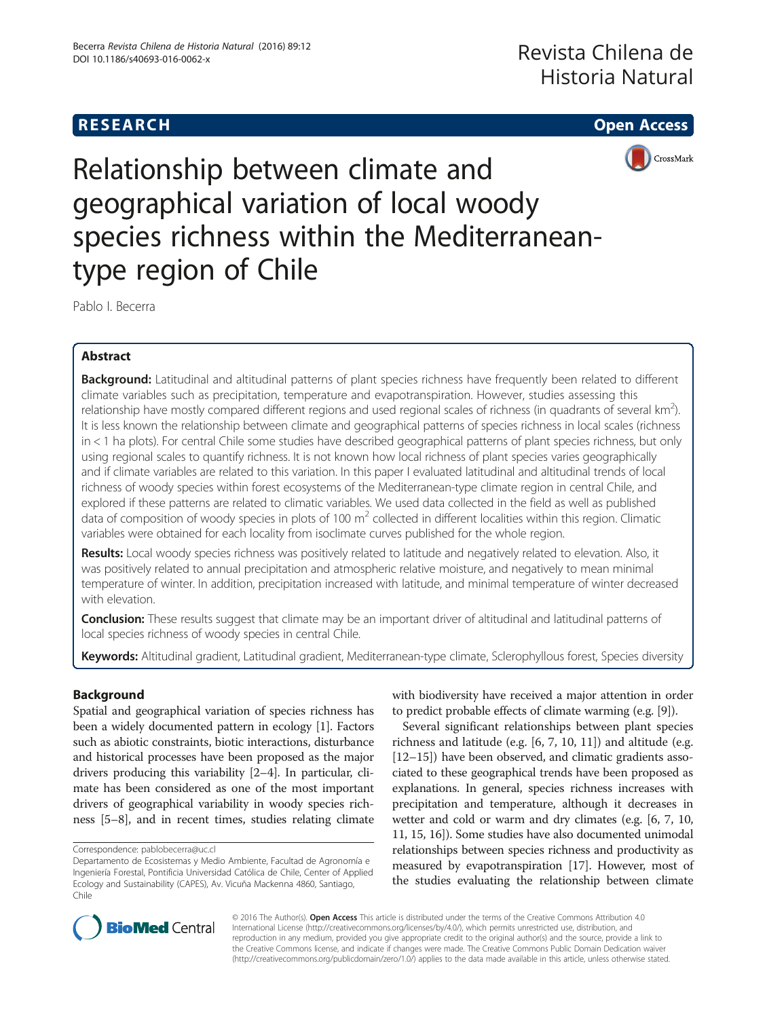# **RESEARCH CHILD CONTROL** CONTROL CONTROL CONTROL CONTROL CONTROL CONTROL CONTROL CONTROL CONTROL CONTROL CONTROL



Relationship between climate and geographical variation of local woody species richness within the Mediterraneantype region of Chile

Pablo I. Becerra

# Abstract

Background: Latitudinal and altitudinal patterns of plant species richness have frequently been related to different climate variables such as precipitation, temperature and evapotranspiration. However, studies assessing this relationship have mostly compared different regions and used regional scales of richness (in quadrants of several km<sup>2</sup>). It is less known the relationship between climate and geographical patterns of species richness in local scales (richness in < 1 ha plots). For central Chile some studies have described geographical patterns of plant species richness, but only using regional scales to quantify richness. It is not known how local richness of plant species varies geographically and if climate variables are related to this variation. In this paper I evaluated latitudinal and altitudinal trends of local richness of woody species within forest ecosystems of the Mediterranean-type climate region in central Chile, and explored if these patterns are related to climatic variables. We used data collected in the field as well as published data of composition of woody species in plots of 100  $m<sup>2</sup>$  collected in different localities within this region. Climatic variables were obtained for each locality from isoclimate curves published for the whole region.

Results: Local woody species richness was positively related to latitude and negatively related to elevation. Also, it was positively related to annual precipitation and atmospheric relative moisture, and negatively to mean minimal temperature of winter. In addition, precipitation increased with latitude, and minimal temperature of winter decreased with elevation.

**Conclusion:** These results suggest that climate may be an important driver of altitudinal and latitudinal patterns of local species richness of woody species in central Chile.

Keywords: Altitudinal gradient, Latitudinal gradient, Mediterranean-type climate, Sclerophyllous forest, Species diversity

# Background

Spatial and geographical variation of species richness has been a widely documented pattern in ecology [\[1](#page-9-0)]. Factors such as abiotic constraints, biotic interactions, disturbance and historical processes have been proposed as the major drivers producing this variability [[2](#page-9-0)–[4](#page-10-0)]. In particular, climate has been considered as one of the most important drivers of geographical variability in woody species richness [\[5](#page-10-0)–[8\]](#page-10-0), and in recent times, studies relating climate

with biodiversity have received a major attention in order to predict probable effects of climate warming (e.g. [\[9](#page-10-0)]).

Several significant relationships between plant species richness and latitude (e.g. [[6, 7, 10, 11\]](#page-10-0)) and altitude (e.g. [[12](#page-10-0)–[15](#page-10-0)]) have been observed, and climatic gradients associated to these geographical trends have been proposed as explanations. In general, species richness increases with precipitation and temperature, although it decreases in wetter and cold or warm and dry climates (e.g. [[6, 7](#page-10-0), [10](#page-10-0), [11](#page-10-0), [15, 16\]](#page-10-0)). Some studies have also documented unimodal relationships between species richness and productivity as measured by evapotranspiration [[17](#page-10-0)]. However, most of the studies evaluating the relationship between climate



© 2016 The Author(s). Open Access This article is distributed under the terms of the Creative Commons Attribution 4.0 International License [\(http://creativecommons.org/licenses/by/4.0/](http://creativecommons.org/licenses/by/4.0/)), which permits unrestricted use, distribution, and reproduction in any medium, provided you give appropriate credit to the original author(s) and the source, provide a link to the Creative Commons license, and indicate if changes were made. The Creative Commons Public Domain Dedication waiver [\(http://creativecommons.org/publicdomain/zero/1.0/](http://creativecommons.org/publicdomain/zero/1.0/)) applies to the data made available in this article, unless otherwise stated.

Correspondence: [pablobecerra@uc.cl](mailto:pablobecerra@uc.cl)

Departamento de Ecosistemas y Medio Ambiente, Facultad de Agronomía e Ingeniería Forestal, Pontificia Universidad Católica de Chile, Center of Applied Ecology and Sustainability (CAPES), Av. Vicuña Mackenna 4860, Santiago, Chile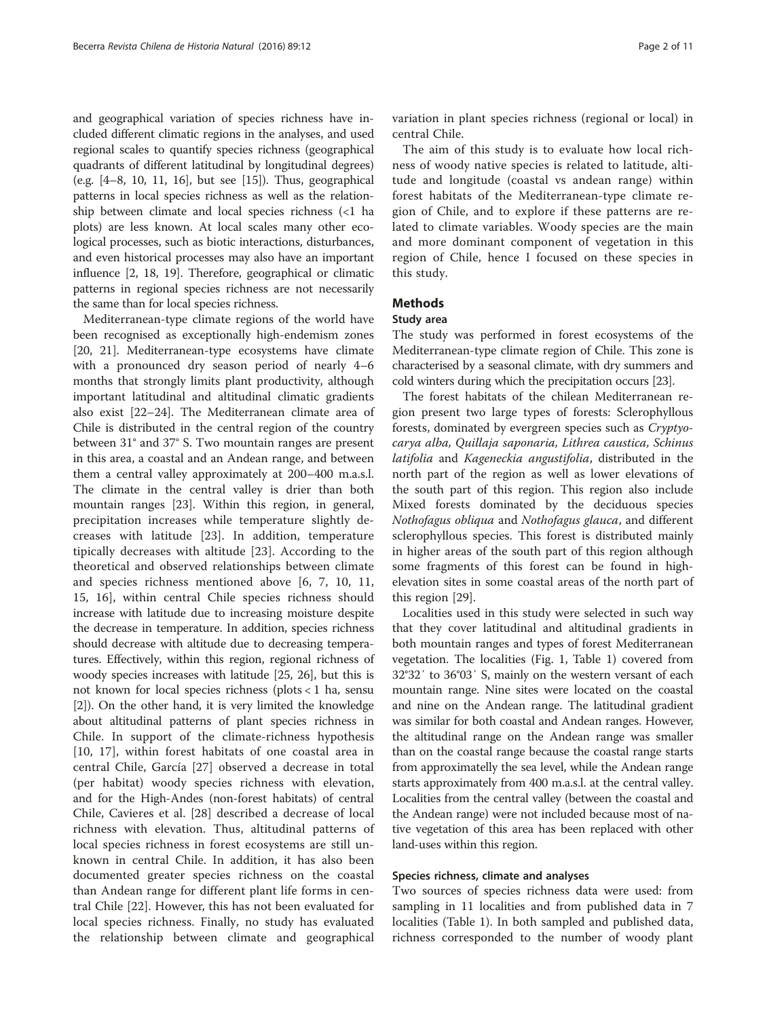and geographical variation of species richness have included different climatic regions in the analyses, and used regional scales to quantify species richness (geographical quadrants of different latitudinal by longitudinal degrees) (e.g. [\[4](#page-10-0)–[8, 10, 11, 16\]](#page-10-0), but see [[15](#page-10-0)]). Thus, geographical patterns in local species richness as well as the relationship between climate and local species richness (<1 ha plots) are less known. At local scales many other ecological processes, such as biotic interactions, disturbances, and even historical processes may also have an important influence [\[2](#page-9-0), [18](#page-10-0), [19\]](#page-10-0). Therefore, geographical or climatic patterns in regional species richness are not necessarily the same than for local species richness.

Mediterranean-type climate regions of the world have been recognised as exceptionally high-endemism zones [[20, 21](#page-10-0)]. Mediterranean-type ecosystems have climate with a pronounced dry season period of nearly 4–6 months that strongly limits plant productivity, although important latitudinal and altitudinal climatic gradients also exist [\[22](#page-10-0)–[24\]](#page-10-0). The Mediterranean climate area of Chile is distributed in the central region of the country between 31° and 37° S. Two mountain ranges are present in this area, a coastal and an Andean range, and between them a central valley approximately at 200–400 m.a.s.l. The climate in the central valley is drier than both mountain ranges [[23\]](#page-10-0). Within this region, in general, precipitation increases while temperature slightly decreases with latitude [[23\]](#page-10-0). In addition, temperature tipically decreases with altitude [[23](#page-10-0)]. According to the theoretical and observed relationships between climate and species richness mentioned above [[6, 7, 10, 11](#page-10-0), [15, 16](#page-10-0)], within central Chile species richness should increase with latitude due to increasing moisture despite the decrease in temperature. In addition, species richness should decrease with altitude due to decreasing temperatures. Effectively, within this region, regional richness of woody species increases with latitude [[25](#page-10-0), [26\]](#page-10-0), but this is not known for local species richness (plots < 1 ha, sensu [[2\]](#page-9-0)). On the other hand, it is very limited the knowledge about altitudinal patterns of plant species richness in Chile. In support of the climate-richness hypothesis [[10, 17\]](#page-10-0), within forest habitats of one coastal area in central Chile, García [\[27](#page-10-0)] observed a decrease in total (per habitat) woody species richness with elevation, and for the High-Andes (non-forest habitats) of central Chile, Cavieres et al. [\[28](#page-10-0)] described a decrease of local richness with elevation. Thus, altitudinal patterns of local species richness in forest ecosystems are still unknown in central Chile. In addition, it has also been documented greater species richness on the coastal than Andean range for different plant life forms in central Chile [[22\]](#page-10-0). However, this has not been evaluated for local species richness. Finally, no study has evaluated the relationship between climate and geographical

variation in plant species richness (regional or local) in central Chile.

The aim of this study is to evaluate how local richness of woody native species is related to latitude, altitude and longitude (coastal vs andean range) within forest habitats of the Mediterranean-type climate region of Chile, and to explore if these patterns are related to climate variables. Woody species are the main and more dominant component of vegetation in this region of Chile, hence I focused on these species in this study.

## Methods

# Study area

The study was performed in forest ecosystems of the Mediterranean-type climate region of Chile. This zone is characterised by a seasonal climate, with dry summers and cold winters during which the precipitation occurs [[23](#page-10-0)].

The forest habitats of the chilean Mediterranean region present two large types of forests: Sclerophyllous forests, dominated by evergreen species such as Cryptyo-<br>carya alba, Quillaja saponaria, Lithrea caustica, Schinus latifolia and Kageneckia angustifolia, distributed in the part of the region as well as lower elevations of north part of the region as well as lower elevations of the south part of this region. This region also include Mixed forests dominated by the deciduous species Nothofagus obliqua and Nothofagus glauca, and different sclerophyllous species. This forest is distributed mainly in higher areas of the south part of this region although some fragments of this forest can be found in highelevation sites in some coastal areas of the north part of this region [[29](#page-10-0)].

Localities used in this study were selected in such way that they cover latitudinal and altitudinal gradients in both mountain ranges and types of forest Mediterranean vegetation. The localities (Fig. [1](#page-2-0), Table [1\)](#page-2-0) covered from 32°32′ to 36°03′ S, mainly on the western versant of each mountain range. Nine sites were located on the coastal and nine on the Andean range. The latitudinal gradient was similar for both coastal and Andean ranges. However, the altitudinal range on the Andean range was smaller than on the coastal range because the coastal range starts from approximatelly the sea level, while the Andean range starts approximately from 400 m.a.s.l. at the central valley. Localities from the central valley (between the coastal and the Andean range) were not included because most of native vegetation of this area has been replaced with other land-uses within this region.

# Species richness, climate and analyses

Two sources of species richness data were used: from sampling in 11 localities and from published data in 7 localities (Table [1](#page-2-0)). In both sampled and published data, richness corresponded to the number of woody plant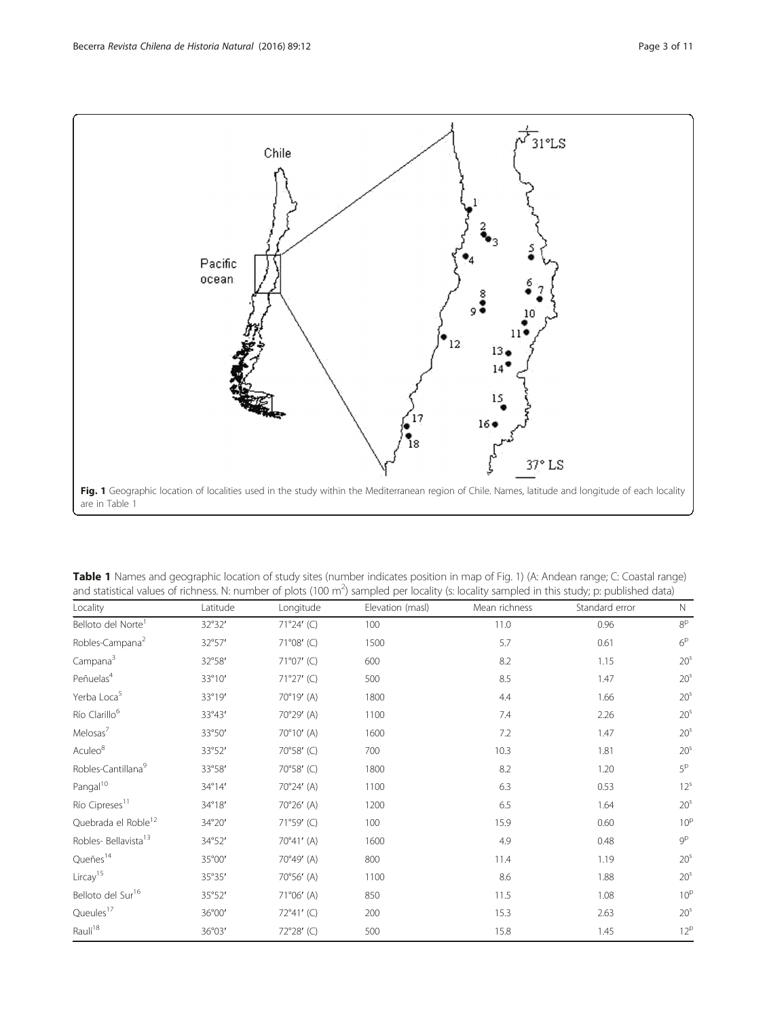<span id="page-2-0"></span>

| Table 1 Names and geographic location of study sites (number indicates position in map of Fig. 1) (A: Andean range; C: Coastal range)                    |  |
|----------------------------------------------------------------------------------------------------------------------------------------------------------|--|
| and statistical values of richness. N: number of plots (100 m <sup>2</sup> ) sampled per locality (s: locality sampled in this study; p: published data) |  |

| Locality                         | Latitude | Longitude           | Elevation (masl) | Mean richness | Standard error | $\mathsf{N}$    |
|----------------------------------|----------|---------------------|------------------|---------------|----------------|-----------------|
| Belloto del Norte <sup>1</sup>   | 32°32'   | 71°24' (C)          | 100              | 11.0          | 0.96           | $8^{\rm p}$     |
| Robles-Campana <sup>2</sup>      | 32°57'   | 71°08' (C)          | 1500             | 5.7           | 0.61           | 6 <sup>p</sup>  |
| Campana <sup>3</sup>             | 32°58'   | 71°07' (C)          | 600              | 8.2           | 1.15           | 20 <sup>s</sup> |
| Peñuelas <sup>4</sup>            | 33°10'   | 71°27' (C)          | 500              | 8.5           | 1.47           | 20 <sup>s</sup> |
| Yerba Loca <sup>5</sup>          | 33°19'   | 70°19' (A)          | 1800             | 4.4           | 1.66           | 20 <sup>s</sup> |
| Río Clarillo <sup>6</sup>        | 33°43'   | 70°29' (A)          | 1100             | 7.4           | 2.26           | 20 <sup>s</sup> |
| Melosas <sup>7</sup>             | 33°50'   | $70^{\circ}10'$ (A) | 1600             | 7.2           | 1.47           | 20 <sup>s</sup> |
| Aculeo <sup>8</sup>              | 33°52'   | 70°58' (C)          | 700              | 10.3          | 1.81           | 20 <sup>s</sup> |
| Robles-Cantillana <sup>9</sup>   | 33°58'   | 70°58' (C)          | 1800             | 8.2           | 1.20           | 5 <sup>p</sup>  |
| Pangal <sup>10</sup>             | 34°14'   | $70^{\circ}24'$ (A) | 1100             | 6.3           | 0.53           | 12 <sup>s</sup> |
| Río Cipreses <sup>11</sup>       | 34°18'   | $70^{\circ}26'$ (A) | 1200             | 6.5           | 1.64           | 20 <sup>s</sup> |
| Quebrada el Roble <sup>12</sup>  | 34°20'   | 71°59' (C)          | 100              | 15.9          | 0.60           | 10 <sup>p</sup> |
| Robles- Bellavista <sup>13</sup> | 34°52'   | $70^{\circ}41'$ (A) | 1600             | 4.9           | 0.48           | $9^p$           |
| Queñes <sup>14</sup>             | 35°00'   | 70°49' (A)          | 800              | 11.4          | 1.19           | 20 <sup>s</sup> |
| Lircay <sup>15</sup>             | 35°35'   | 70°56' (A)          | 1100             | 8.6           | 1.88           | 20 <sup>s</sup> |
| Belloto del Sur <sup>16</sup>    | 35°52'   | $71^{\circ}06'$ (A) | 850              | 11.5          | 1.08           | 10 <sup>p</sup> |
| Queules <sup>17</sup>            | 36°00'   | 72 $941'$ (C)       | 200              | 15.3          | 2.63           | 20 <sup>s</sup> |
| Raulí <sup>18</sup>              | 36°03'   | 72°28' (C)          | 500              | 15.8          | 1.45           | $12^p$          |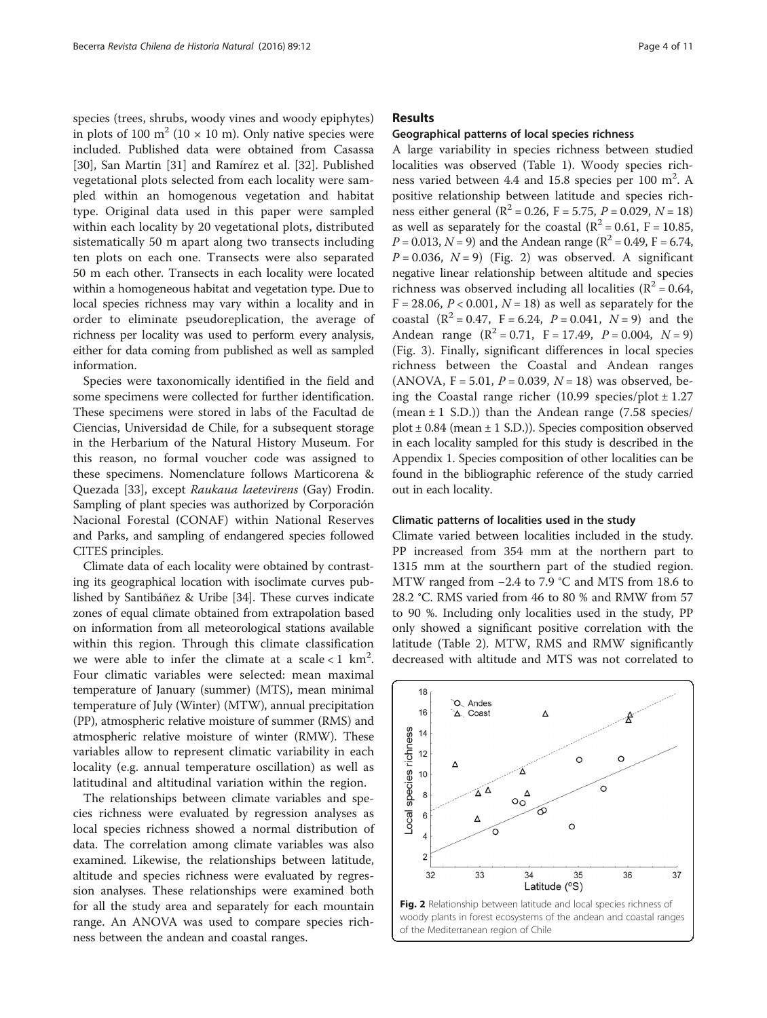species (trees, shrubs, woody vines and woody epiphytes) in plots of 100 m<sup>2</sup> (10  $\times$  10 m). Only native species were included. Published data were obtained from Casassa [[30\]](#page-10-0), San Martin [\[31](#page-10-0)] and Ramírez et al. [[32\]](#page-10-0). Published vegetational plots selected from each locality were sampled within an homogenous vegetation and habitat type. Original data used in this paper were sampled within each locality by 20 vegetational plots, distributed sistematically 50 m apart along two transects including ten plots on each one. Transects were also separated 50 m each other. Transects in each locality were located within a homogeneous habitat and vegetation type. Due to local species richness may vary within a locality and in order to eliminate pseudoreplication, the average of richness per locality was used to perform every analysis, either for data coming from published as well as sampled information.

Species were taxonomically identified in the field and some specimens were collected for further identification. These specimens were stored in labs of the Facultad de Ciencias, Universidad de Chile, for a subsequent storage in the Herbarium of the Natural History Museum. For this reason, no formal voucher code was assigned to these specimens. Nomenclature follows Marticorena & Quezada [\[33](#page-10-0)], except Raukaua laetevirens (Gay) Frodin. Sampling of plant species was authorized by Corporación Nacional Forestal (CONAF) within National Reserves and Parks, and sampling of endangered species followed CITES principles.

Climate data of each locality were obtained by contrasting its geographical location with isoclimate curves published by Santibáñez & Uribe [\[34](#page-10-0)]. These curves indicate zones of equal climate obtained from extrapolation based on information from all meteorological stations available within this region. Through this climate classification we were able to infer the climate at a scale <  $1 \text{ km}^2$ . Four climatic variables were selected: mean maximal temperature of January (summer) (MTS), mean minimal temperature of July (Winter) (MTW), annual precipitation (PP), atmospheric relative moisture of summer (RMS) and atmospheric relative moisture of winter (RMW). These variables allow to represent climatic variability in each locality (e.g. annual temperature oscillation) as well as latitudinal and altitudinal variation within the region.

The relationships between climate variables and species richness were evaluated by regression analyses as local species richness showed a normal distribution of data. The correlation among climate variables was also examined. Likewise, the relationships between latitude, altitude and species richness were evaluated by regression analyses. These relationships were examined both for all the study area and separately for each mountain range. An ANOVA was used to compare species richness between the andean and coastal ranges.

# Results

#### Geographical patterns of local species richness

A large variability in species richness between studied localities was observed (Table [1](#page-2-0)). Woody species richness varied between 4.4 and 15.8 species per 100 m<sup>2</sup>. A positive relationship between latitude and species richness either general ( $R^2 = 0.26$ , F = 5.75, P = 0.029, N = 18) as well as separately for the coastal  $(R^2 = 0.61, F = 10.85,$  $P = 0.013$ ,  $N = 9$ ) and the Andean range ( $R^2 = 0.49$ ,  $F = 6.74$ ,  $P = 0.036$ ,  $N = 9$ ) (Fig. 2) was observed. A significant negative linear relationship between altitude and species richness was observed including all localities ( $\mathbb{R}^2$  = 0.64,  $F = 28.06$ ,  $P < 0.001$ ,  $N = 18$ ) as well as separately for the coastal  $(R^2 = 0.47, F = 6.24, P = 0.041, N = 9)$  and the Andean range  $(R^2 = 0.71, F = 17.49, P = 0.004, N = 9)$ (Fig. [3](#page-4-0)). Finally, significant differences in local species richness between the Coastal and Andean ranges (ANOVA,  $F = 5.01$ ,  $P = 0.039$ ,  $N = 18$ ) was observed, being the Coastal range richer  $(10.99 \text{ species}/\text{plot} \pm 1.27)$ (mean  $\pm$  1 S.D.)) than the Andean range (7.58 species/ plot  $\pm$  0.84 (mean  $\pm$  1 S.D.)). Species composition observed in each locality sampled for this study is described in the Appendix 1. Species composition of other localities can be found in the bibliographic reference of the study carried out in each locality.

#### Climatic patterns of localities used in the study

Climate varied between localities included in the study. PP increased from 354 mm at the northern part to 1315 mm at the sourthern part of the studied region. MTW ranged from −2.4 to 7.9 °C and MTS from 18.6 to 28.2 °C. RMS varied from 46 to 80 % and RMW from 57 to 90 %. Including only localities used in the study, PP only showed a significant positive correlation with the latitude (Table [2\)](#page-4-0). MTW, RMS and RMW significantly decreased with altitude and MTS was not correlated to



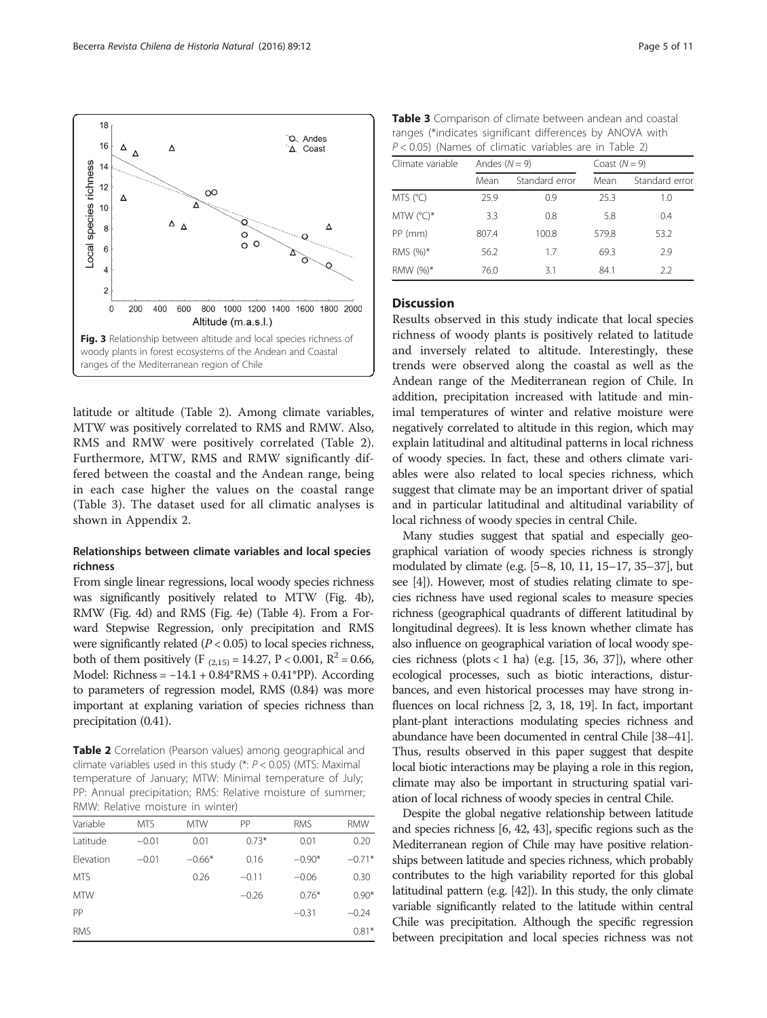<span id="page-4-0"></span>

latitude or altitude (Table 2). Among climate variables, MTW was positively correlated to RMS and RMW. Also, RMS and RMW were positively correlated (Table 2). Furthermore, MTW, RMS and RMW significantly differed between the coastal and the Andean range, being in each case higher the values on the coastal range (Table 3). The dataset used for all climatic analyses is shown in Appendix 2.

# Relationships between climate variables and local species richness

From single linear regressions, local woody species richness was significantly positively related to MTW (Fig. [4b](#page-5-0)), RMW (Fig. [4d](#page-5-0)) and RMS (Fig. [4e\)](#page-5-0) (Table [4](#page-5-0)). From a Forward Stepwise Regression, only precipitation and RMS were significantly related  $(P < 0.05)$  to local species richness, both of them positively (F  $_{(2,15)} = 14.27$ , P < 0.001, R<sup>2</sup> = 0.66, Model: Richness =  $-14.1 + 0.84$ \*RMS + 0.41\*PP). According to parameters of regression model, RMS (0.84) was more important at explaning variation of species richness than precipitation (0.41).

Table 2 Correlation (Pearson values) among geographical and climate variables used in this study  $(*: P < 0.05)$  (MTS: Maximal temperature of January; MTW: Minimal temperature of July; PP: Annual precipitation; RMS: Relative moisture of summer; RMW: Relative moisture in winter)

| Variable   | <b>MTS</b> | <b>MTW</b> | PP      | <b>RMS</b> | <b>RMW</b> |
|------------|------------|------------|---------|------------|------------|
| Latitude   | $-0.01$    | 0.01       | $0.73*$ | 0.01       | 0.20       |
| Flevation  | $-0.01$    | $-0.66*$   | 0.16    | $-0.90*$   | $-0.71*$   |
| <b>MTS</b> |            | 0.26       | $-0.11$ | $-0.06$    | 0.30       |
| <b>MTW</b> |            |            | $-0.26$ | $0.76*$    | $0.90*$    |
| PP         |            |            |         | $-0.31$    | $-0.24$    |
| <b>RMS</b> |            |            |         |            | $0.81*$    |

Table 3 Comparison of climate between andean and coastal ranges (\*indicates significant differences by ANOVA with  $P < 0.05$ ) (Names of climatic variables are in Table 2)

| Climate variable      | Andes $(N = 9)$        |       |       | Coast $(N = 9)$ |  |  |  |
|-----------------------|------------------------|-------|-------|-----------------|--|--|--|
|                       | Standard error<br>Mean |       | Mean  | Standard error  |  |  |  |
| MTS (°C)              | 25.9                   | 0.9   | 25.3  | 1.0             |  |  |  |
| MTW $(^{\circ}C)^{*}$ | 3.3                    | 0.8   | 5.8   | 0.4             |  |  |  |
| PP (mm)               | 807.4                  | 100.8 | 579.8 | 53.2            |  |  |  |
| RMS (%)*              | 56.2                   | 1.7   | 69.3  | 2.9             |  |  |  |
| RMW (%)*              | 76.0                   | 3.1   | 84.1  | 22              |  |  |  |

# **Discussion**

Results observed in this study indicate that local species richness of woody plants is positively related to latitude and inversely related to altitude. Interestingly, these trends were observed along the coastal as well as the Andean range of the Mediterranean region of Chile. In addition, precipitation increased with latitude and minimal temperatures of winter and relative moisture were negatively correlated to altitude in this region, which may explain latitudinal and altitudinal patterns in local richness of woody species. In fact, these and others climate variables were also related to local species richness, which suggest that climate may be an important driver of spatial and in particular latitudinal and altitudinal variability of local richness of woody species in central Chile.

Many studies suggest that spatial and especially geographical variation of woody species richness is strongly modulated by climate (e.g. [\[5](#page-10-0)–[8, 10](#page-10-0), [11](#page-10-0), [15](#page-10-0)–[17, 35](#page-10-0)–[37](#page-10-0)], but see [\[4](#page-10-0)]). However, most of studies relating climate to species richness have used regional scales to measure species richness (geographical quadrants of different latitudinal by longitudinal degrees). It is less known whether climate has also influence on geographical variation of local woody species richness (plots < 1 ha) (e.g. [[15](#page-10-0), [36, 37\]](#page-10-0)), where other ecological processes, such as biotic interactions, disturbances, and even historical processes may have strong influences on local richness [\[2, 3,](#page-9-0) [18, 19\]](#page-10-0). In fact, important plant-plant interactions modulating species richness and abundance have been documented in central Chile [\[38](#page-10-0)–[41](#page-10-0)]. Thus, results observed in this paper suggest that despite local biotic interactions may be playing a role in this region, climate may also be important in structuring spatial variation of local richness of woody species in central Chile.

Despite the global negative relationship between latitude and species richness [\[6, 42](#page-10-0), [43](#page-10-0)], specific regions such as the Mediterranean region of Chile may have positive relationships between latitude and species richness, which probably contributes to the high variability reported for this global latitudinal pattern (e.g. [\[42](#page-10-0)]). In this study, the only climate variable significantly related to the latitude within central Chile was precipitation. Although the specific regression between precipitation and local species richness was not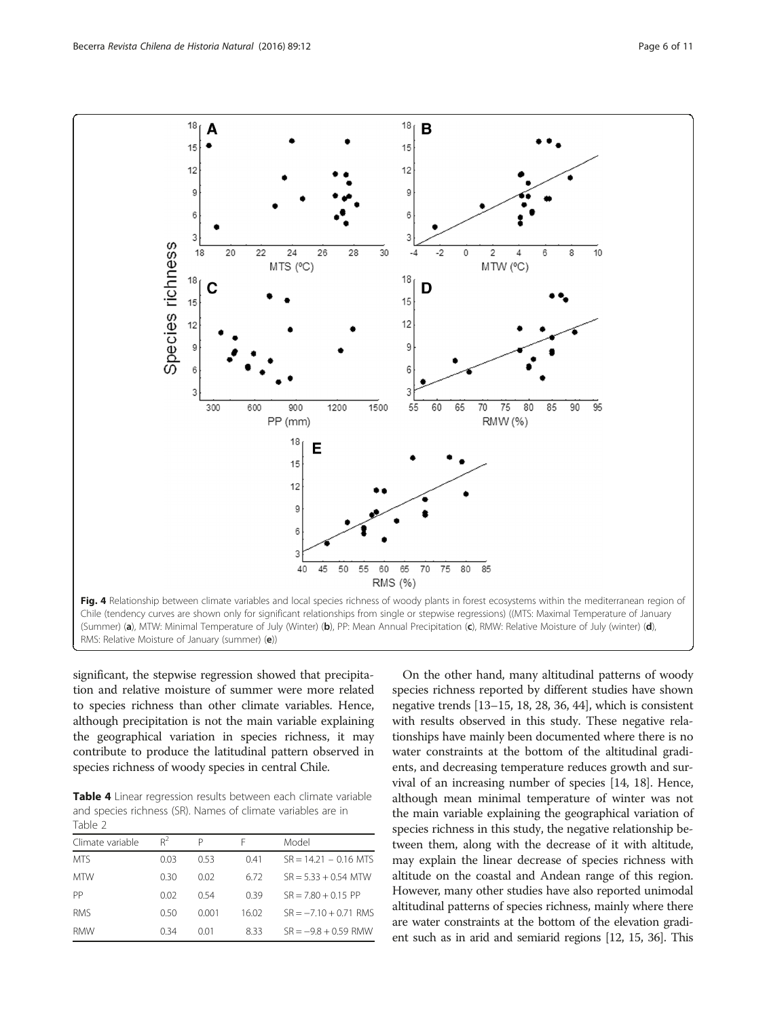<span id="page-5-0"></span>

RMS: Relative Moisture of January (summer) (e))

significant, the stepwise regression showed that precipitation and relative moisture of summer were more related to species richness than other climate variables. Hence, although precipitation is not the main variable explaining the geographical variation in species richness, it may contribute to produce the latitudinal pattern observed in species richness of woody species in central Chile.

Table 4 Linear regression results between each climate variable and species richness (SR). Names of climate variables are in Table [2](#page-4-0)

| Climate variable | $R^2$ | P     | F     | Model                   |
|------------------|-------|-------|-------|-------------------------|
| <b>MTS</b>       | 0.03  | 0.53  | 0.41  | $SR = 14.21 - 0.16$ MTS |
| <b>MTW</b>       | 0.30  | 0.02  | 6.72  | $SR = 5.33 + 0.54$ MTW  |
| PP               | 0.02  | 0.54  | 0.39  | $SR = 7.80 + 0.15 PP$   |
| <b>RMS</b>       | 0.50  | 0.001 | 16.02 | $SR = -7.10 + 0.71$ RMS |
| <b>RMW</b>       | 0.34  | 0.01  | 833   | $SR = -9.8 + 0.59$ RMW  |

On the other hand, many altitudinal patterns of woody species richness reported by different studies have shown negative trends [\[13](#page-10-0)–[15](#page-10-0), [18, 28](#page-10-0), [36, 44](#page-10-0)], which is consistent with results observed in this study. These negative relationships have mainly been documented where there is no water constraints at the bottom of the altitudinal gradients, and decreasing temperature reduces growth and survival of an increasing number of species [[14, 18\]](#page-10-0). Hence, although mean minimal temperature of winter was not the main variable explaining the geographical variation of species richness in this study, the negative relationship between them, along with the decrease of it with altitude, may explain the linear decrease of species richness with altitude on the coastal and Andean range of this region. However, many other studies have also reported unimodal altitudinal patterns of species richness, mainly where there are water constraints at the bottom of the elevation gradient such as in arid and semiarid regions [\[12, 15, 36\]](#page-10-0). This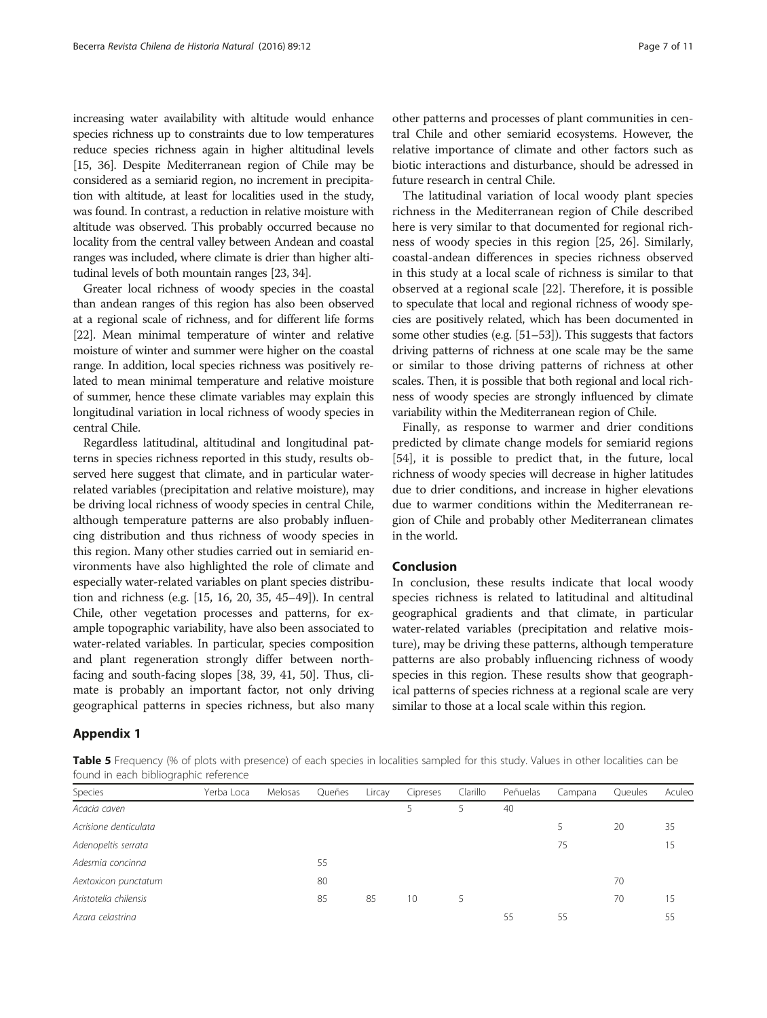increasing water availability with altitude would enhance species richness up to constraints due to low temperatures reduce species richness again in higher altitudinal levels [[15](#page-10-0), [36](#page-10-0)]. Despite Mediterranean region of Chile may be considered as a semiarid region, no increment in precipitation with altitude, at least for localities used in the study, was found. In contrast, a reduction in relative moisture with altitude was observed. This probably occurred because no locality from the central valley between Andean and coastal ranges was included, where climate is drier than higher altitudinal levels of both mountain ranges [\[23, 34\]](#page-10-0).

Greater local richness of woody species in the coastal than andean ranges of this region has also been observed at a regional scale of richness, and for different life forms [[22](#page-10-0)]. Mean minimal temperature of winter and relative moisture of winter and summer were higher on the coastal range. In addition, local species richness was positively related to mean minimal temperature and relative moisture of summer, hence these climate variables may explain this longitudinal variation in local richness of woody species in central Chile.

Regardless latitudinal, altitudinal and longitudinal patterns in species richness reported in this study, results observed here suggest that climate, and in particular waterrelated variables (precipitation and relative moisture), may be driving local richness of woody species in central Chile, although temperature patterns are also probably influencing distribution and thus richness of woody species in this region. Many other studies carried out in semiarid environments have also highlighted the role of climate and especially water-related variables on plant species distribution and richness (e.g. [\[15, 16](#page-10-0), [20](#page-10-0), [35, 45](#page-10-0)–[49](#page-10-0)]). In central Chile, other vegetation processes and patterns, for example topographic variability, have also been associated to water-related variables. In particular, species composition and plant regeneration strongly differ between northfacing and south-facing slopes [[38](#page-10-0), [39, 41](#page-10-0), [50](#page-10-0)]. Thus, climate is probably an important factor, not only driving geographical patterns in species richness, but also many

# Appendix 1

other patterns and processes of plant communities in central Chile and other semiarid ecosystems. However, the relative importance of climate and other factors such as biotic interactions and disturbance, should be adressed in future research in central Chile.

The latitudinal variation of local woody plant species richness in the Mediterranean region of Chile described here is very similar to that documented for regional richness of woody species in this region [\[25](#page-10-0), [26](#page-10-0)]. Similarly, coastal-andean differences in species richness observed in this study at a local scale of richness is similar to that observed at a regional scale [\[22\]](#page-10-0). Therefore, it is possible to speculate that local and regional richness of woody species are positively related, which has been documented in some other studies (e.g. [\[51](#page-10-0)–[53\]](#page-10-0)). This suggests that factors driving patterns of richness at one scale may be the same or similar to those driving patterns of richness at other scales. Then, it is possible that both regional and local richness of woody species are strongly influenced by climate variability within the Mediterranean region of Chile.

Finally, as response to warmer and drier conditions predicted by climate change models for semiarid regions [[54\]](#page-10-0), it is possible to predict that, in the future, local richness of woody species will decrease in higher latitudes due to drier conditions, and increase in higher elevations due to warmer conditions within the Mediterranean region of Chile and probably other Mediterranean climates in the world.

# Conclusion

In conclusion, these results indicate that local woody species richness is related to latitudinal and altitudinal geographical gradients and that climate, in particular water-related variables (precipitation and relative moisture), may be driving these patterns, although temperature patterns are also probably influencing richness of woody species in this region. These results show that geographical patterns of species richness at a regional scale are very similar to those at a local scale within this region.

Table 5 Frequency (% of plots with presence) of each species in localities sampled for this study. Values in other localities can be found in each bibliographic reference

| Species               | Yerba Loca | Melosas | Queñes | Lircay | Cipreses | Clarillo | Peñuelas | Campana | Queules | Aculec |
|-----------------------|------------|---------|--------|--------|----------|----------|----------|---------|---------|--------|
| Acacia caven          |            |         |        |        | 5        |          | 40       |         |         |        |
| Acrisione denticulata |            |         |        |        |          |          |          |         | 20      | 35     |
| Adenopeltis serrata   |            |         |        |        |          |          |          | 75      |         | 15     |
| Adesmia concinna      |            |         | 55     |        |          |          |          |         |         |        |
| Aextoxicon punctatum  |            |         | 80     |        |          |          |          |         | 70      |        |
| Aristotelia chilensis |            |         | 85     | 85     | 10       | 5        |          |         | 70      | 15     |
| Azara celastrina      |            |         |        |        |          |          | 55       | 55      |         | 55     |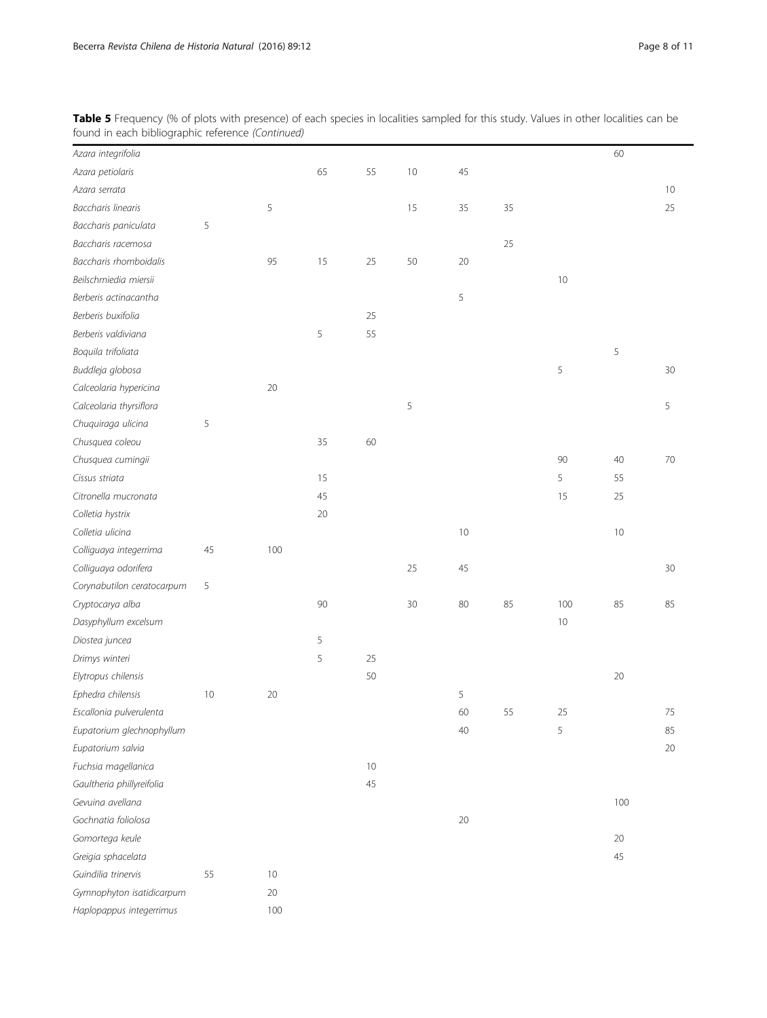| ╯                          |    |      |    |        |    |        |    |     |     |    |
|----------------------------|----|------|----|--------|----|--------|----|-----|-----|----|
| Azara integrifolia         |    |      |    |        |    |        |    |     | 60  |    |
| Azara petiolaris           |    |      | 65 | 55     | 10 | 45     |    |     |     |    |
| Azara serrata              |    |      |    |        |    |        |    |     |     | 10 |
| Baccharis linearis         |    | 5    |    |        | 15 | 35     | 35 |     |     | 25 |
| Baccharis paniculata       | 5  |      |    |        |    |        |    |     |     |    |
| Baccharis racemosa         |    |      |    |        |    |        | 25 |     |     |    |
| Baccharis rhomboidalis     |    | 95   | 15 | 25     | 50 | $20\,$ |    |     |     |    |
| Beilschmiedia miersii      |    |      |    |        |    |        |    | 10  |     |    |
| Berberis actinacantha      |    |      |    |        |    | 5      |    |     |     |    |
| Berberis buxifolia         |    |      |    | 25     |    |        |    |     |     |    |
| Berberis valdiviana        |    |      | 5  | 55     |    |        |    |     |     |    |
| Boquila trifoliata         |    |      |    |        |    |        |    |     | 5   |    |
| Buddleja globosa           |    |      |    |        |    |        |    | 5   |     | 30 |
| Calceolaria hypericina     |    | 20   |    |        |    |        |    |     |     |    |
| Calceolaria thyrsiflora    |    |      |    |        | 5  |        |    |     |     | 5  |
| Chuquiraga ulicina         | 5  |      |    |        |    |        |    |     |     |    |
| Chusquea coleou            |    |      | 35 | 60     |    |        |    |     |     |    |
| Chusquea cumingii          |    |      |    |        |    |        |    | 90  | 40  | 70 |
| Cissus striata             |    |      | 15 |        |    |        |    | 5   | 55  |    |
| Citronella mucronata       |    |      | 45 |        |    |        |    | 15  | 25  |    |
| Colletia hystrix           |    |      | 20 |        |    |        |    |     |     |    |
| Colletia ulicina           |    |      |    |        |    | $10$   |    |     | 10  |    |
| Colliguaya integerrima     | 45 | 100  |    |        |    |        |    |     |     |    |
| Colliguaya odorifera       |    |      |    |        | 25 | 45     |    |     |     | 30 |
| Corynabutilon ceratocarpum | 5  |      |    |        |    |        |    |     |     |    |
| Cryptocarya alba           |    |      | 90 |        | 30 | 80     | 85 | 100 | 85  | 85 |
| Dasyphyllum excelsum       |    |      |    |        |    |        |    | 10  |     |    |
| Diostea juncea             |    |      | 5  |        |    |        |    |     |     |    |
| Drimys winteri             |    |      | 5  | 25     |    |        |    |     |     |    |
| Elytropus chilensis        |    |      |    | 50     |    |        |    |     | 20  |    |
| Ephedra chilensis          | 10 | 20   |    |        |    | 5      |    |     |     |    |
| Escallonia pulverulenta    |    |      |    |        |    | 60     | 55 | 25  |     | 75 |
| Eupatorium glechnophyllum  |    |      |    |        |    | 40     |    | 5   |     | 85 |
| Eupatorium salvia          |    |      |    |        |    |        |    |     |     | 20 |
| Fuchsia magellanica        |    |      |    | $10$   |    |        |    |     |     |    |
| Gaultheria phillyreifolia  |    |      |    | $45\,$ |    |        |    |     |     |    |
| Gevuina avellana           |    |      |    |        |    |        |    |     | 100 |    |
| Gochnatia foliolosa        |    |      |    |        |    | $20\,$ |    |     |     |    |
| Gomortega keule            |    |      |    |        |    |        |    |     | 20  |    |
| Greigia sphacelata         |    |      |    |        |    |        |    |     | 45  |    |
| Guindilia trinervis        | 55 | $10$ |    |        |    |        |    |     |     |    |
| Gymnophyton isatidicarpum  |    | 20   |    |        |    |        |    |     |     |    |
| Haplopappus integerrimus   |    | 100  |    |        |    |        |    |     |     |    |

Table 5 Frequency (% of plots with presence) of each species in localities sampled for this study. Values in other localities can be found in each bibliographic reference (Continued)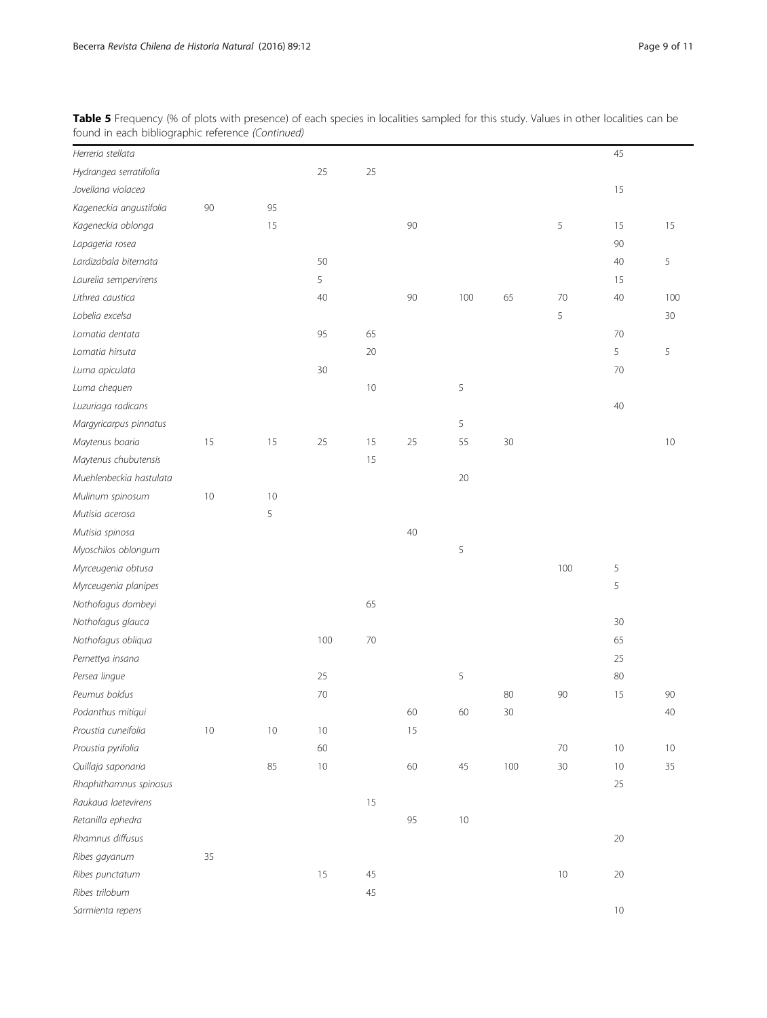| Herreria stellata       |      |    |        |        |    |      |        |        | 45     |        |
|-------------------------|------|----|--------|--------|----|------|--------|--------|--------|--------|
| Hydrangea serratifolia  |      |    | 25     | 25     |    |      |        |        |        |        |
| Jovellana violacea      |      |    |        |        |    |      |        |        | 15     |        |
| Kageneckia angustifolia | 90   | 95 |        |        |    |      |        |        |        |        |
| Kageneckia oblonga      |      | 15 |        |        | 90 |      |        | 5      | 15     | 15     |
| Lapageria rosea         |      |    |        |        |    |      |        |        | 90     |        |
| Lardizabala biternata   |      |    | 50     |        |    |      |        |        | 40     | 5      |
| Laurelia sempervirens   |      |    | 5      |        |    |      |        |        | 15     |        |
| Lithrea caustica        |      |    | 40     |        | 90 | 100  | 65     | 70     | 40     | 100    |
| Lobelia excelsa         |      |    |        |        |    |      |        | 5      |        | 30     |
| Lomatia dentata         |      |    | 95     | 65     |    |      |        |        | 70     |        |
| Lomatia hirsuta         |      |    |        | 20     |    |      |        |        | 5      | 5      |
| Luma apiculata          |      |    | $30\,$ |        |    |      |        |        | 70     |        |
| Luma chequen            |      |    |        | $10$   |    | 5    |        |        |        |        |
| Luzuriaga radicans      |      |    |        |        |    |      |        |        | 40     |        |
| Margyricarpus pinnatus  |      |    |        |        |    | 5    |        |        |        |        |
| Maytenus boaria         | 15   | 15 | 25     | 15     | 25 | 55   | $30\,$ |        |        | $10$   |
| Maytenus chubutensis    |      |    |        | 15     |    |      |        |        |        |        |
| Muehlenbeckia hastulata |      |    |        |        |    | 20   |        |        |        |        |
| Mulinum spinosum        | 10   | 10 |        |        |    |      |        |        |        |        |
| Mutisia acerosa         |      | 5  |        |        |    |      |        |        |        |        |
| Mutisia spinosa         |      |    |        |        | 40 |      |        |        |        |        |
| Myoschilos oblongum     |      |    |        |        |    | 5    |        |        |        |        |
| Myrceugenia obtusa      |      |    |        |        |    |      |        | 100    | 5      |        |
| Myrceugenia planipes    |      |    |        |        |    |      |        |        | 5      |        |
| Nothofagus dombeyi      |      |    |        | 65     |    |      |        |        |        |        |
| Nothofagus glauca       |      |    |        |        |    |      |        |        | 30     |        |
| Nothofagus obliqua      |      |    | 100    | $70\,$ |    |      |        |        | 65     |        |
| Pernettya insana        |      |    |        |        |    |      |        |        | 25     |        |
| Persea lingue           |      |    | 25     |        |    | 5    |        |        | 80     |        |
| Peumus boldus           |      |    | 70     |        |    |      | 80     | 90     | 15     | 90     |
| Podanthus mitiqui       |      |    |        |        | 60 | 60   | 30     |        |        | $40\,$ |
| Proustia cuneifolia     | $10$ | 10 | 10     |        | 15 |      |        |        |        |        |
| Proustia pyrifolia      |      |    | 60     |        |    |      |        | $70\,$ | $10$   | $10$   |
| Quillaja saponaria      |      | 85 | $10$   |        | 60 | 45   | 100    | 30     | $10$   | $35\,$ |
| Rhaphithamnus spinosus  |      |    |        |        |    |      |        |        | 25     |        |
| Raukaua laetevirens     |      |    |        | $15\,$ |    |      |        |        |        |        |
| Retanilla ephedra       |      |    |        |        | 95 | $10$ |        |        |        |        |
| Rhamnus diffusus        |      |    |        |        |    |      |        |        | $20\,$ |        |
| Ribes gayanum           | 35   |    |        |        |    |      |        |        |        |        |
| Ribes punctatum         |      |    | 15     | 45     |    |      |        | $10$   | $20\,$ |        |
| Ribes trilobum          |      |    |        | 45     |    |      |        |        |        |        |
| Sarmienta repens        |      |    |        |        |    |      |        |        | $10\,$ |        |

Table 5 Frequency (% of plots with presence) of each species in localities sampled for this study. Values in other localities can be found in each bibliographic reference (Continued)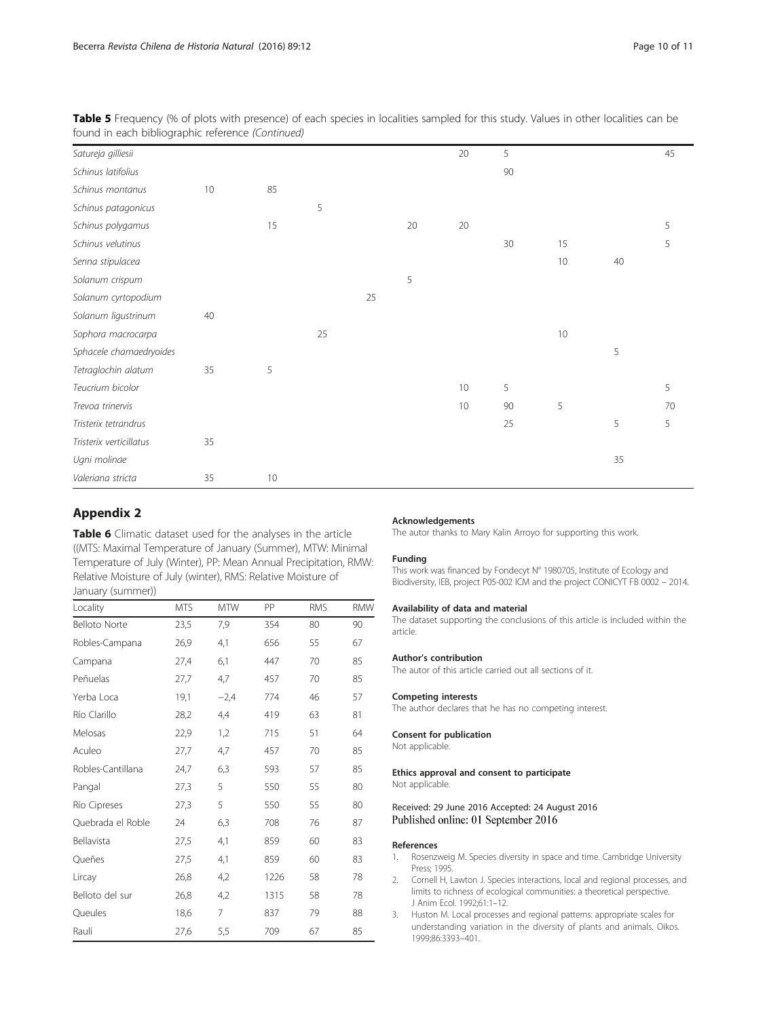| Satureja gilliesii      |    |    |    |    |    | 20 | 5  |    |    | 45 |
|-------------------------|----|----|----|----|----|----|----|----|----|----|
| Schinus latifolius      |    |    |    |    |    |    | 90 |    |    |    |
| Schinus montanus        | 10 | 85 |    |    |    |    |    |    |    |    |
| Schinus patagonicus     |    |    | 5  |    |    |    |    |    |    |    |
| Schinus polygamus       |    | 15 |    |    | 20 | 20 |    |    |    | 5  |
| Schinus velutinus       |    |    |    |    |    |    | 30 | 15 |    | 5  |
| Senna stipulacea        |    |    |    |    |    |    |    | 10 | 40 |    |
| Solanum crispum         |    |    |    |    | 5  |    |    |    |    |    |
| Solanum cyrtopodium     |    |    |    | 25 |    |    |    |    |    |    |
| Solanum ligustrinum     | 40 |    |    |    |    |    |    |    |    |    |
| Sophora macrocarpa      |    |    | 25 |    |    |    |    | 10 |    |    |
| Sphacele chamaedryoides |    |    |    |    |    |    |    |    | 5  |    |
| Tetraglochin alatum     | 35 | 5  |    |    |    |    |    |    |    |    |
| Teucrium bicolor        |    |    |    |    |    | 10 | 5  |    |    | 5  |
| Trevoa trinervis        |    |    |    |    |    | 10 | 90 | 5  |    | 70 |
| Tristerix tetrandrus    |    |    |    |    |    |    | 25 |    | 5  | 5  |
| Tristerix verticillatus | 35 |    |    |    |    |    |    |    |    |    |
| Ugni molinae            |    |    |    |    |    |    |    |    | 35 |    |
| Valeriana stricta       | 35 | 10 |    |    |    |    |    |    |    |    |

<span id="page-9-0"></span>Table 5 Frequency (% of plots with presence) of each species in localities sampled for this study. Values in other localities can be found in each bibliographic reference (Continued)

# Appendix 2

Table 6 Climatic dataset used for the analyses in the article ((MTS: Maximal Temperature of January (Summer), MTW: Minimal Temperature of July (Winter), PP: Mean Annual Precipitation, RMW: Relative Moisture of July (winter), RMS: Relative Moisture of January (summer))

| Locality             | <b>MTS</b> | <b>MTW</b> | PP   | <b>RMS</b> | RMW |
|----------------------|------------|------------|------|------------|-----|
| <b>Belloto Norte</b> | 23,5       | 7,9        | 354  | 80         | 90  |
| Robles-Campana       | 26,9       | 4,1        | 656  | 55         | 67  |
| Campana              | 27,4       | 6,1        | 447  | 70         | 85  |
| Peñuelas             | 27,7       | 4,7        | 457  | 70         | 85  |
| Yerba Loca           | 19,1       | $-2,4$     | 774  | 46         | 57  |
| Río Clarillo         | 28,2       | 4,4        | 419  | 63         | 81  |
| Melosas              | 22,9       | 1,2        | 715  | 51         | 64  |
| Aculeo               | 27,7       | 4,7        | 457  | 70         | 85  |
| Robles-Cantillana    | 24,7       | 6,3        | 593  | 57         | 85  |
| Pangal               | 27,3       | 5          | 550  | 55         | 80  |
| Río Cipreses         | 27,3       | 5          | 550  | 55         | 80  |
| Quebrada el Roble    | 24         | 6,3        | 708  | 76         | 87  |
| Bellavista           | 27,5       | 4,1        | 859  | 60         | 83  |
| Queñes               | 27,5       | 4,1        | 859  | 60         | 83  |
| Lircay               | 26,8       | 4,2        | 1226 | 58         | 78  |
| Belloto del sur      | 26,8       | 4,2        | 1315 | 58         | 78  |
| Queules              | 18,6       | 7          | 837  | 79         | 88  |
| Raulí                | 27,6       | 5,5        | 709  | 67         | 85  |

#### Acknowledgements

The autor thanks to Mary Kalin Arroyo for supporting this work.

#### Funding

This work was financed by Fondecyt N° 1980705, Institute of Ecology and Biodiversity, IEB, project P05-002 ICM and the project CONICYT FB 0002 – 2014.

#### Availability of data and material

The dataset supporting the conclusions of this article is included within the article.

# Author's contribution

The autor of this article carried out all sections of it.

#### Competing interests

The author declares that he has no competing interest.

#### Consent for publication

Not applicable.

# Ethics approval and consent to participate

Not applicable.

#### Received: 29 June 2016 Accepted: 24 August 2016 Published online: 01 September 2016

## References

- 1. Rosenzweig M. Species diversity in space and time. Cambridge University Press; 1995.
- 2. Cornell H, Lawton J. Species interactions, local and regional processes, and limits to richness of ecological communities: a theoretical perspective. J Anim Ecol. 1992;61:1–12.
- 3. Huston M. Local processes and regional patterns: appropriate scales for understanding variation in the diversity of plants and animals. Oikos. 1999;86:3393–401.